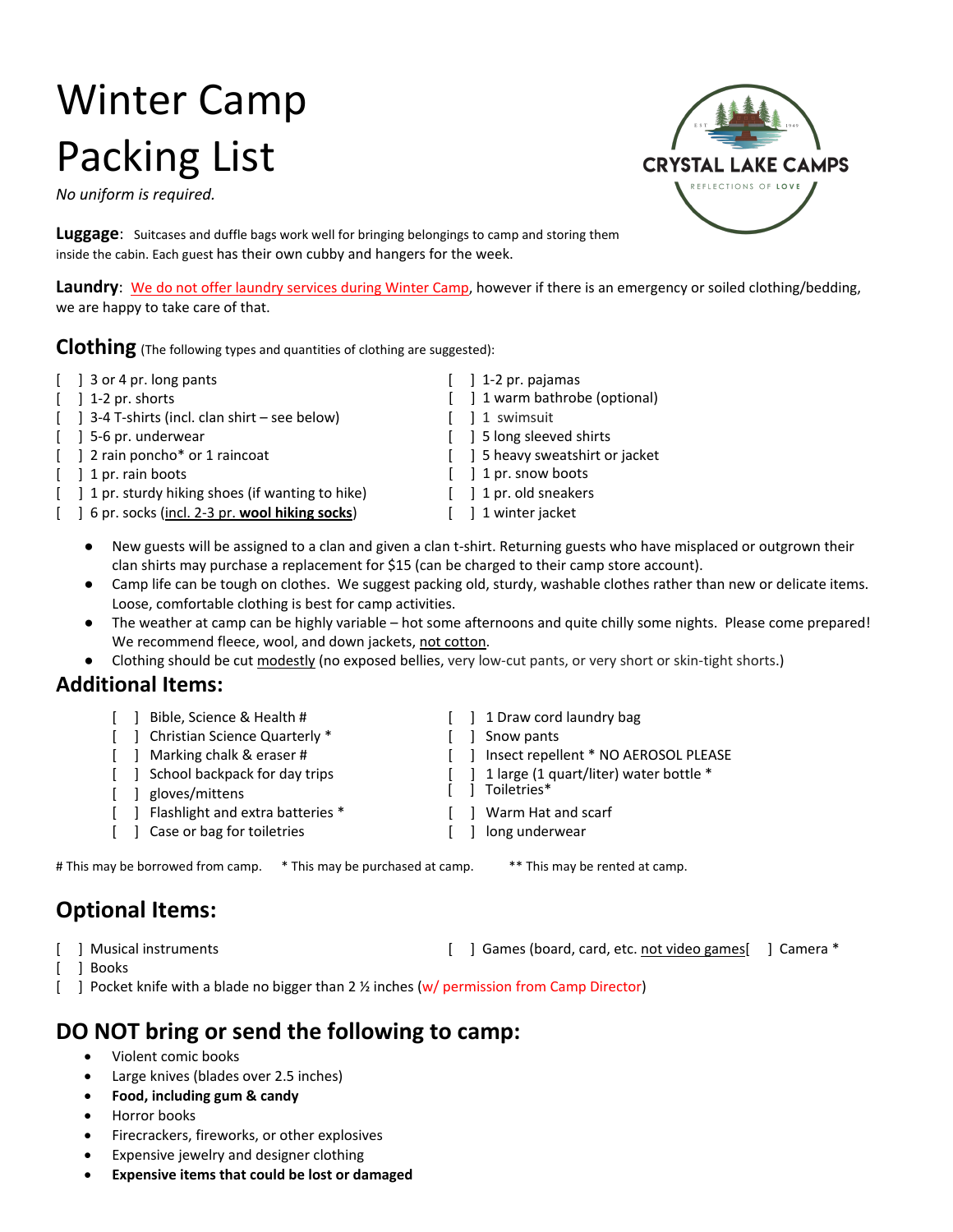# Winter Camp Packing List

*No uniform is required.* 

**Luggage**: Suitcases and duffle bags work well for bringing belongings to camp and storing them inside the cabin. Each guest has their own cubby and hangers for the week.

**Laundry**: We do not offer laundry services during Winter Camp, however if there is an emergency or soiled clothing/bedding, we are happy to take care of that.

**Clothing** (The following types and quantities of clothing are suggested):

- [ ] 3 or 4 pr. long pants [ ] 1-2 pr. pajamas
- 
- [ ] 3-4 T-shirts (incl. clan shirt see below) [ ] 1 swimsuit
- 
- [ ] 2 rain poncho\* or 1 raincoat [ ] 5 heavy sweatshirt or jacket
	-
- [ ] 1 pr. sturdy hiking shoes (if wanting to hike) [ ] 1 pr. old sneakers
- [ ] 6 pr. socks (incl. 2-3 pr. **wool hiking socks**) [ ] 1 winter jacket

[ ] 1-2 pr. shorts [ ] 1 warm bathrobe (optional) [ ] 5-6 pr. underwear [ ] 5 long sleeved shirts

- 
- [ ] 1 pr. rain boots [ ] 1 pr. snow boots
	-
	-
	- New guests will be assigned to a clan and given a clan t-shirt. Returning guests who have misplaced or outgrown their clan shirts may purchase a replacement for \$15 (can be charged to their camp store account).
	- Camp life can be tough on clothes. We suggest packing old, sturdy, washable clothes rather than new or delicate items. Loose, comfortable clothing is best for camp activities.
	- The weather at camp can be highly variable hot some afternoons and quite chilly some nights. Please come prepared! We recommend fleece, wool, and down jackets, not cotton.
	- Clothing should be cut modestly (no exposed bellies, very low-cut pants, or very short or skin-tight shorts.)

#### **Additional Items:**

- [ ] Bible, Science & Health # [ ] 1 Draw cord laundry bag
- [ ] Christian Science Quarterly \* [ ] Snow pants
- [ ] Marking chalk & eraser # [ ] Insect repellent \* NO AEROSOL PLEASE
- [ ] School backpack for day trips [ ] 1 large (1 quart/liter) water bottle \*<br>[ ] districts in the set of the set of the set of the set of the set of the set of the set of the set of the s
- $\lceil \quad \rceil$  gloves/mittens
- [ ] Flashlight and extra batteries \* [ ] Warm Hat and scarf
- [ ] Case or bag for toiletries [ ] long underwear

# This may be borrowed from camp. \* This may be purchased at camp. \*\* This may be rented at camp.

## **Optional Items:**

- 
- [ ] Books
- [ ] Musical instruments **[ ] Games (board, card, etc. not video games** [ ] Camera \*
- [ ] Pocket knife with a blade no bigger than 2 % inches (w/ permission from Camp Director)

## **DO NOT bring or send the following to camp:**

- Violent comic books
- Large knives (blades over 2.5 inches)
- **Food, including gum & candy**
- Horror books
- Firecrackers, fireworks, or other explosives
- Expensive jewelry and designer clothing
- **Expensive items that could be lost or damaged**